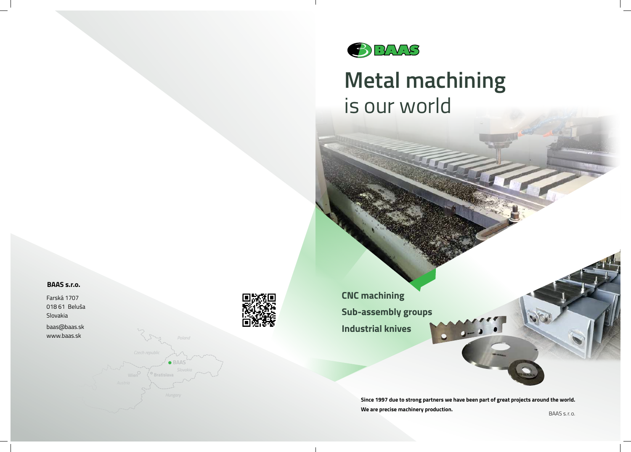

**Since 1997 due to strong partners we have been part of great projects around the world. We are precise machinery production. BAAS** s.r.o.





# **Metal machining** is our world

**Industrial knives Sub-assembly groups CNC machining**